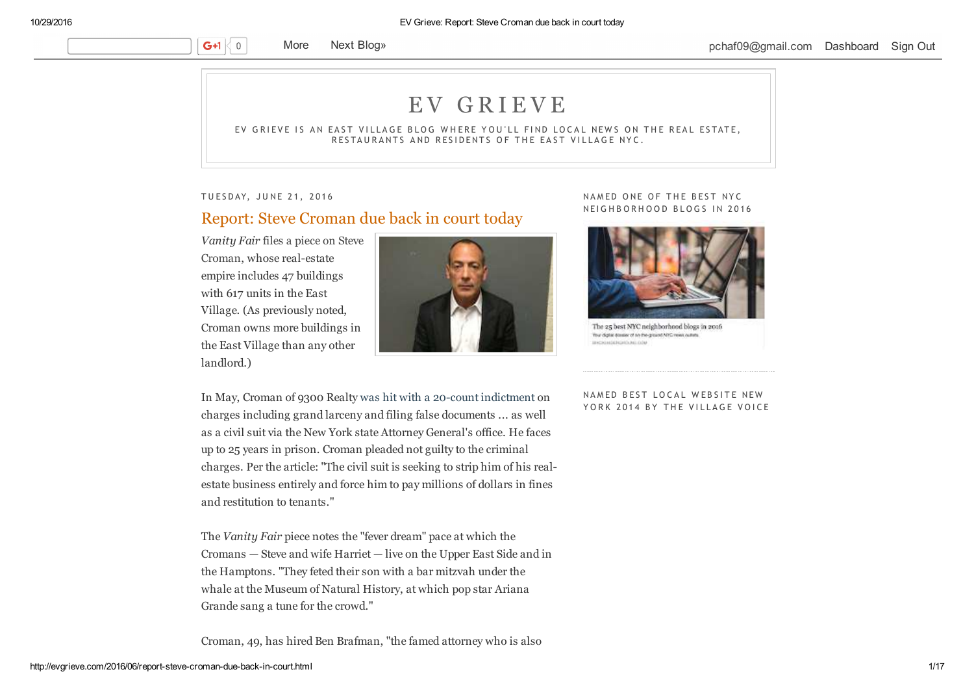# EV GRIEVE

EV GRIEVE IS AN EAST VILLAGE BLOG WHERE YOU'LL FIND LOCAL NEWS ON THE REAL ESTATE, RESTAURANTS AND RESIDENTS OF THE EAST VILLAGE NYC.

TUESDAY, JUNE 21, 2016

 $\langle 0 \rangle$  $G+1$ 

## Report: Steve Croman due back in court today

More Next Blog»

*Vanity Fair* files a piece on SteveCroman, whose real-estate empire includes 47 buildingswith 617 units in the EastVillage. (As previously noted,Croman owns more buildings in the East Village than any otherlandlord.)



## NAMED ONE OF THE BEST NYC NEIGHBORHOOD BLOGS IN 2016



The 25 best NYC neighborhood blogs in 2016 Your digital dossex of an the-ground NYC meet cultural aparatesisticisticisticani

In May, Croman of 9300 Realty was hit with a 20-count indictment on charges including grand larceny and filing false documents ... as wellas a civil suit via the New York state Attorney General's office. He facesup to 25 years in prison. Croman pleaded not guilty to the criminalcharges. Per the article: "The civil suit is seeking to strip him of his realestate business entirely and force him to pay millions of dollars in finesand restitution to tenants."

The *Vanity Fair* piece notes the "fever dream" pace at which theCromans — Steve and wife Harriet — live on the Upper East Side and inthe Hamptons. "They feted their son with a bar mitzvah under thewhale at the Museum of Natural History, at which pop star ArianaGrande sang a tune for the crowd."

Croman, 49, has hired Ben Brafman, "the famed attorney who is also

## NAMED BEST LOCAL WEBSITE NEW YORK 2014 BY THE VILLAGE VOICE